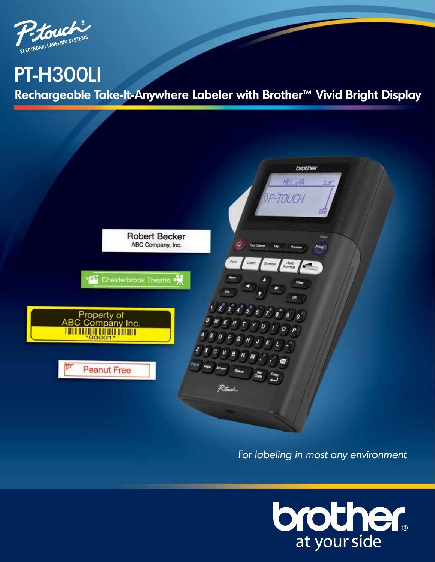

## PT-H300LI

**Rechargeable Take-It-Anywhere Labeler with Brother™ Vivid Bright Display**



For labeling in most any environment

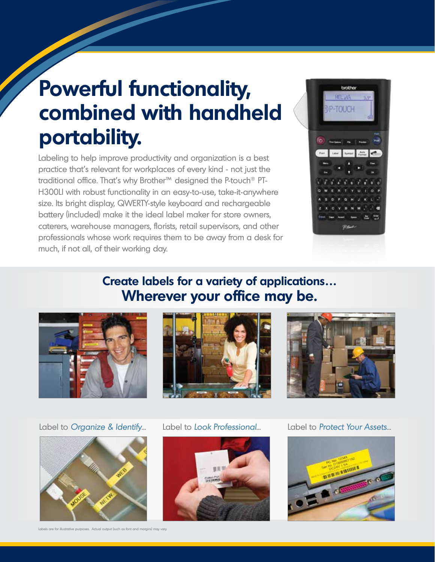# **Powerful functionality, combined with handheld portability.**

Labeling to help improve productivity and organization is a best practice that's relevant for workplaces of every kind - not just the traditional office. That's why Brother™ designed the P-touch® PT-H300LI with robust functionality in an easy-to-use, take-it-anywhere size. Its bright display, QWERTY-style keyboard and rechargeable battery (included) make it the ideal label maker for store owners, caterers, warehouse managers, florists, retail supervisors, and other professionals whose work requires them to be away from a desk for much, if not all, of their working day.



## **Create labels for a variety of applications… Wherever your office may be.**







Label to Organize & Identify... Label to Look Professional... Label to Protect Your Assets...



Labels are for illustrative purposes. Actual output (such as font and margins) may vary.



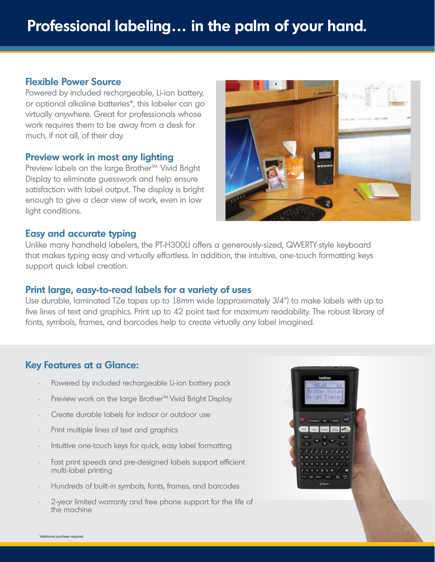## **Flexible Power Source**

Powered by included rechargeable, Li-ion battery, or optional alkaline batteries\*, this labeler can go virtually anywhere. Great for professionals whose work requires them to be away from a desk for much, if not all, of their day.

## **Preview work in most any lighting**

Preview labels on the large Brother™ Vivid Bright Display to eliminate guesswork and help ensure satisfaction with label output. The display is bright enough to give a clear view of work, even in low light conditions.



## **Easy and accurate typing**

Unlike many handheld labelers, the PT-H300LI offers a generously-sized, QWERTY-style keyboard that makes typing easy and virtually effortless. In addition, the intuitive, one-touch formatting keys support quick label creation.

## **Print large, easy-to-read labels for a variety of uses**

Use durable, laminated TZe tapes up to 18mm wide (approximately 3/4") to make labels with up to five lines of text and graphics. Print up to 42 point text for maximum readability. The robust library of fonts, symbols, frames, and barcodes help to create virtually any label imagined.

## **Key Features at a Glance:**

- Powered by included rechargeable Li-ion battery pack
- Preview work on the large Brother™ Vivid Bright Display
- Create durable labels for indoor or outdoor use
- Print multiple lines of text and graphics
- Intuitive one-touch keys for quick, easy label formatting
- Fast print speeds and pre-designed labels support efficient multi-label printing
- Hundreds of built-in symbols, fonts, frames, and barcodes
- 2-year limited warranty and free phone support for the life of the machine

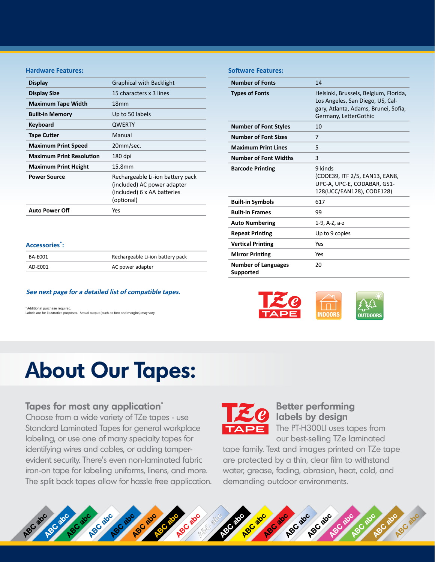## **Hardware Features:**

| <b>Display</b>                  | <b>Graphical with Backlight</b>                                                                              |  |
|---------------------------------|--------------------------------------------------------------------------------------------------------------|--|
| <b>Display Size</b>             | 15 characters x 3 lines                                                                                      |  |
| <b>Maximum Tape Width</b>       | 18 <sub>mm</sub>                                                                                             |  |
| <b>Built-in Memory</b>          | Up to 50 labels                                                                                              |  |
| Keyboard                        | <b>QWERTY</b>                                                                                                |  |
| Tape Cutter                     | Manual                                                                                                       |  |
| <b>Maximum Print Speed</b>      | 20mm/sec.                                                                                                    |  |
| <b>Maximum Print Resolution</b> | 180 dpi                                                                                                      |  |
| <b>Maximum Print Height</b>     | 15.8mm                                                                                                       |  |
| <b>Power Source</b>             | Rechargeable Li-ion battery pack<br>(included) AC power adapter<br>(included) 6 x AA batteries<br>(optional) |  |
| <b>Auto Power Off</b>           | Yes                                                                                                          |  |

## **Software Features:**

| <b>Number of Fonts</b>                  | 14                                                                                                                                         |
|-----------------------------------------|--------------------------------------------------------------------------------------------------------------------------------------------|
| <b>Types of Fonts</b>                   | Helsinki, Brussels, Belgium, Florida,<br>Los Angeles, San Diego, US, Cal-<br>gary, Atlanta, Adams, Brunei, Sofia,<br>Germany, LetterGothic |
| <b>Number of Font Styles</b>            | 10                                                                                                                                         |
| <b>Number of Font Sizes</b>             | 7                                                                                                                                          |
| <b>Maximum Print Lines</b>              | 5                                                                                                                                          |
| <b>Number of Font Widths</b>            | 3                                                                                                                                          |
| <b>Barcode Printing</b>                 | 9 kinds<br>(CODE39, ITF 2/5, EAN13, EAN8,<br>UPC-A, UPC-E, CODABAR, GS1-<br>128(UCC/EAN128), CODE128)                                      |
| <b>Built-in Symbols</b>                 | 617                                                                                                                                        |
| <b>Built-in Frames</b>                  | 99                                                                                                                                         |
| <b>Auto Numbering</b>                   | 1-9, A-Z, a-z                                                                                                                              |
| <b>Repeat Printing</b>                  | Up to 9 copies                                                                                                                             |
| <b>Vertical Printing</b>                | Yes                                                                                                                                        |
| <b>Mirror Printing</b>                  | Yes                                                                                                                                        |
| <b>Number of Languages</b><br>Supported | 20                                                                                                                                         |
|                                         |                                                                                                                                            |

## **Accessories\* :**

| BA-E001 | Rechargeable Li-ion battery pack |
|---------|----------------------------------|
| AD-E001 | AC power adapter                 |

#### **See next page for a detailed list of compatible tapes.**

\* Additional purchase required. Labels are for illustrative purposes. Actual output (such as font and margins) may vary.



## **About Our Tapes:**

## **Tapes for most any application\***

Choose from a wide variety of TZe tapes - use Standard Laminated Tapes for general workplace labeling, or use one of many specialty tapes for identifying wires and cables, or adding tamperevident security. There's even non-laminated fabric iron-on tape for labeling uniforms, linens, and more. The split back tapes allow for hassle free application.



## **Better performing labels by design**  The PT-H300LI uses tapes from

our best-selling TZe laminated

tape family. Text and images printed on TZe tape are protected by a thin, clear film to withstand water, grease, fading, abrasion, heat, cold, and demanding outdoor environments.